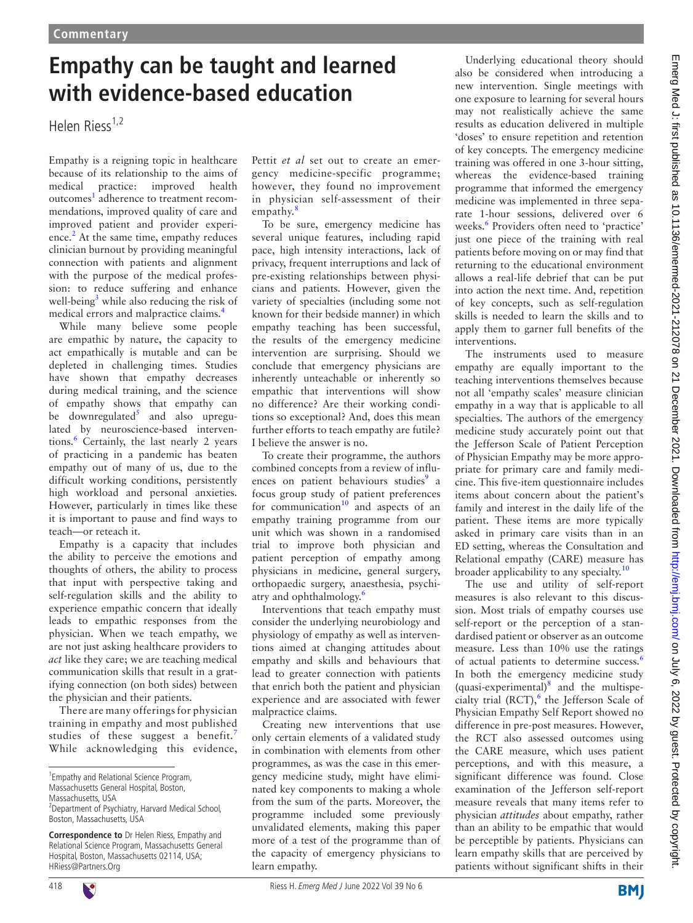## **Empathy can be taught and learned with evidence-based education**

Helen Riess<sup>1,2</sup>

Empathy is a reigning topic in healthcare because of its relationship to the aims of medical practice: improved health outcomes<sup>[1](#page-1-0)</sup> adherence to treatment recommendations, improved quality of care and improved patient and provider experi-ence.<sup>[2](#page-1-1)</sup> At the same time, empathy reduces clinician burnout by providing meaningful connection with patients and alignment with the purpose of the medical profession: to reduce suffering and enhance well-being<sup>[3](#page-1-2)</sup> while also reducing the risk of medical errors and malpractice claims[.4](#page-1-3)

While many believe some people are empathic by nature, the capacity to act empathically is mutable and can be depleted in challenging times. Studies have shown that empathy decreases during medical training, and the science of empathy shows that empathy can be downregulated<sup>[5](#page-1-4)</sup> and also upregulated by neuroscience-based interven-tions.<sup>[6](#page-1-5)</sup> Certainly, the last nearly 2 years of practicing in a pandemic has beaten empathy out of many of us, due to the difficult working conditions, persistently high workload and personal anxieties. However, particularly in times like these it is important to pause and find ways to teach—or reteach it.

Empathy is a capacity that includes the ability to perceive the emotions and thoughts of others, the ability to process that input with perspective taking and self-regulation skills and the ability to experience empathic concern that ideally leads to empathic responses from the physician. When we teach empathy, we are not just asking healthcare providers to *act* like they care; we are teaching medical communication skills that result in a gratifying connection (on both sides) between the physician and their patients.

There are many offerings for physician training in empathy and most published studies of these suggest a benefit.<sup>[7](#page-1-6)</sup> While acknowledging this evidence, Pettit *et al* set out to create an emergency medicine-specific programme; however, they found no improvement in physician self-assessment of their empathy.<sup>[8](#page-1-7)</sup>

To be sure, emergency medicine has several unique features, including rapid pace, high intensity interactions, lack of privacy, frequent interruptions and lack of pre-existing relationships between physicians and patients. However, given the variety of specialties (including some not known for their bedside manner) in which empathy teaching has been successful, the results of the emergency medicine intervention are surprising. Should we conclude that emergency physicians are inherently unteachable or inherently so empathic that interventions will show no difference? Are their working conditions so exceptional? And, does this mean further efforts to teach empathy are futile? I believe the answer is no.

To create their programme, the authors combined concepts from a review of influ-ences on patient behaviours studies<sup>[9](#page-1-8)</sup> a focus group study of patient preferences for communication $10$  and aspects of an empathy training programme from our unit which was shown in a randomised trial to improve both physician and patient perception of empathy among physicians in medicine, general surgery, orthopaedic surgery, anaesthesia, psychi-atry and ophthalmology.<sup>[6](#page-1-5)</sup>

Interventions that teach empathy must consider the underlying neurobiology and physiology of empathy as well as interventions aimed at changing attitudes about empathy and skills and behaviours that lead to greater connection with patients that enrich both the patient and physician experience and are associated with fewer malpractice claims.

Creating new interventions that use only certain elements of a validated study in combination with elements from other programmes, as was the case in this emergency medicine study, might have eliminated key components to making a whole from the sum of the parts. Moreover, the programme included some previously unvalidated elements, making this paper more of a test of the programme than of the capacity of emergency physicians to learn empathy.

Underlying educational theory should also be considered when introducing a new intervention. Single meetings with one exposure to learning for several hours may not realistically achieve the same results as education delivered in multiple 'doses' to ensure repetition and retention of key concepts. The emergency medicine training was offered in one 3-hour sitting, whereas the evidence-based training programme that informed the emergency medicine was implemented in three separate 1-hour sessions, delivered over 6 weeks.<sup>[6](#page-1-5)</sup> Providers often need to 'practice' just one piece of the training with real patients before moving on or may find that returning to the educational environment allows a real-life debrief that can be put into action the next time. And, repetition of key concepts, such as self-regulation skills is needed to learn the skills and to apply them to garner full benefits of the interventions.

The instruments used to measure empathy are equally important to the teaching interventions themselves because not all 'empathy scales' measure clinician empathy in a way that is applicable to all specialties. The authors of the emergency medicine study accurately point out that the Jefferson Scale of Patient Perception of Physician Empathy may be more appropriate for primary care and family medicine. This five-item questionnaire includes items about concern about the patient's family and interest in the daily life of the patient. These items are more typically asked in primary care visits than in an ED setting, whereas the Consultation and Relational empathy (CARE) measure has broader applicability to any specialty.<sup>[10](#page-1-9)</sup>

The use and utility of self-report measures is also relevant to this discussion. Most trials of empathy courses use self-report or the perception of a standardised patient or observer as an outcome measure. Less than 10% use the ratings of actual patients to determine success.<sup>[6](#page-1-5)</sup> In both the emergency medicine study (quasi-experimental)[8](#page-1-7) and the multispe-cialty trial (RCT),<sup>[6](#page-1-5)</sup> the Jefferson Scale of Physician Empathy Self Report showed no difference in pre-post measures. However, the RCT also assessed outcomes using the CARE measure, which uses patient perceptions, and with this measure, a significant difference was found. Close examination of the Jefferson self-report measure reveals that many items refer to physician *attitudes* about empathy, rather than an ability to be empathic that would be perceptible by patients. Physicians can learn empathy skills that are perceived by patients without significant shifts in their

**BMI** 



<sup>1</sup> Empathy and Relational Science Program,

Massachusetts General Hospital, Boston, Massachusetts, USA

<sup>&</sup>lt;sup>2</sup> Department of Psychiatry, Harvard Medical School, Boston, Massachusetts, USA

**Correspondence to** Dr Helen Riess, Empathy and Relational Science Program, Massachusetts General Hospital, Boston, Massachusetts 02114, USA; HRiess@Partners.Org